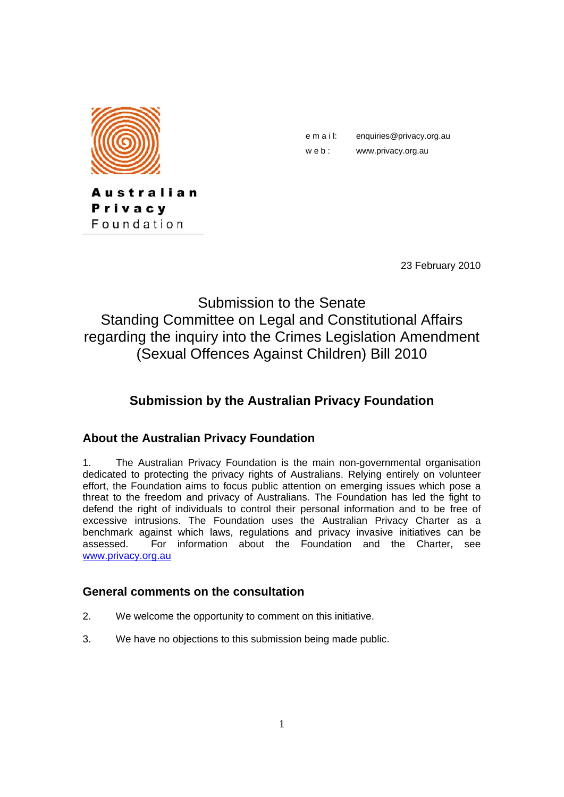

Privacy Foundation

Australian

e m a i l: enquiries@privacy.org.au

w e b : www.privacy.org.au

23 February 2010

# Submission to the Senate Standing Committee on Legal and Constitutional Affairs regarding the inquiry into the Crimes Legislation Amendment (Sexual Offences Against Children) Bill 2010

## **Submission by the Australian Privacy Foundation**

#### **About the Australian Privacy Foundation**

1. The Australian Privacy Foundation is the main non-governmental organisation dedicated to protecting the privacy rights of Australians. Relying entirely on volunteer effort, the Foundation aims to focus public attention on emerging issues which pose a threat to the freedom and privacy of Australians. The Foundation has led the fight to defend the right of individuals to control their personal information and to be free of excessive intrusions. The Foundation uses the Australian Privacy Charter as a benchmark against which laws, regulations and privacy invasive initiatives can be assessed. For information about the Foundation and the Charter, see www.privacy.org.au

#### **General comments on the consultation**

- 2. We welcome the opportunity to comment on this initiative.
- 3. We have no objections to this submission being made public.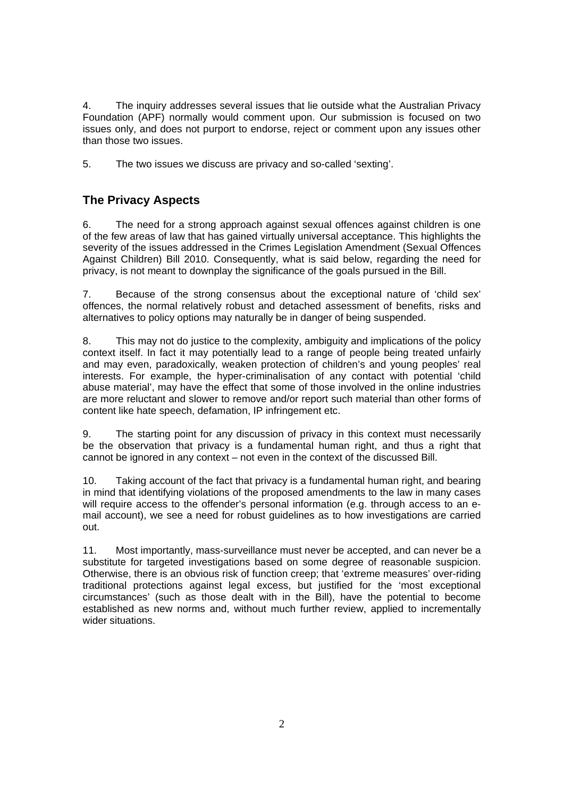4. The inquiry addresses several issues that lie outside what the Australian Privacy Foundation (APF) normally would comment upon. Our submission is focused on two issues only, and does not purport to endorse, reject or comment upon any issues other than those two issues.

5. The two issues we discuss are privacy and so-called 'sexting'.

#### **The Privacy Aspects**

6. The need for a strong approach against sexual offences against children is one of the few areas of law that has gained virtually universal acceptance. This highlights the severity of the issues addressed in the Crimes Legislation Amendment (Sexual Offences Against Children) Bill 2010. Consequently, what is said below, regarding the need for privacy, is not meant to downplay the significance of the goals pursued in the Bill.

7. Because of the strong consensus about the exceptional nature of 'child sex' offences, the normal relatively robust and detached assessment of benefits, risks and alternatives to policy options may naturally be in danger of being suspended.

8. This may not do justice to the complexity, ambiguity and implications of the policy context itself. In fact it may potentially lead to a range of people being treated unfairly and may even, paradoxically, weaken protection of children's and young peoples' real interests. For example, the hyper-criminalisation of any contact with potential 'child abuse material', may have the effect that some of those involved in the online industries are more reluctant and slower to remove and/or report such material than other forms of content like hate speech, defamation, IP infringement etc.

9. The starting point for any discussion of privacy in this context must necessarily be the observation that privacy is a fundamental human right, and thus a right that cannot be ignored in any context – not even in the context of the discussed Bill.

10. Taking account of the fact that privacy is a fundamental human right, and bearing in mind that identifying violations of the proposed amendments to the law in many cases will require access to the offender's personal information (e.g. through access to an email account), we see a need for robust guidelines as to how investigations are carried out.

11. Most importantly, mass-surveillance must never be accepted, and can never be a substitute for targeted investigations based on some degree of reasonable suspicion. Otherwise, there is an obvious risk of function creep; that 'extreme measures' over-riding traditional protections against legal excess, but justified for the 'most exceptional circumstances' (such as those dealt with in the Bill), have the potential to become established as new norms and, without much further review, applied to incrementally wider situations.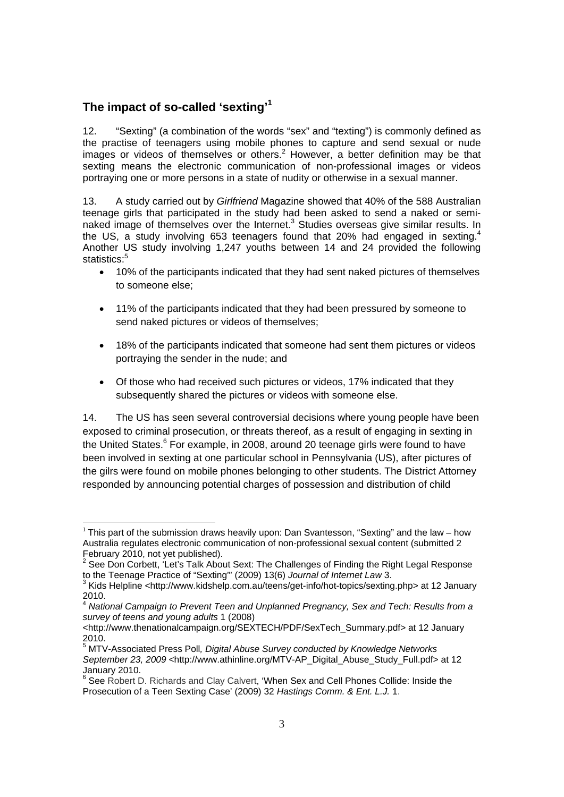#### **The impact of so-called 'sexting'1**

-

12. "Sexting" (a combination of the words "sex" and "texting") is commonly defined as the practise of teenagers using mobile phones to capture and send sexual or nude images or videos of themselves or others.<sup>2</sup> However, a better definition may be that sexting means the electronic communication of non-professional images or videos portraying one or more persons in a state of nudity or otherwise in a sexual manner.

13. A study carried out by *Girlfriend* Magazine showed that 40% of the 588 Australian teenage girls that participated in the study had been asked to send a naked or seminaked image of themselves over the Internet.<sup>3</sup> Studies overseas give similar results. In the US, a study involving 653 teenagers found that 20% had engaged in sexting.<sup>4</sup> Another US study involving 1,247 youths between 14 and 24 provided the following statistics:<sup>5</sup>

- 10% of the participants indicated that they had sent naked pictures of themselves to someone else;
- 11% of the participants indicated that they had been pressured by someone to send naked pictures or videos of themselves;
- 18% of the participants indicated that someone had sent them pictures or videos portraying the sender in the nude; and
- Of those who had received such pictures or videos, 17% indicated that they subsequently shared the pictures or videos with someone else.

14. The US has seen several controversial decisions where young people have been exposed to criminal prosecution, or threats thereof, as a result of engaging in sexting in the United States.<sup>6</sup> For example, in 2008, around 20 teenage girls were found to have been involved in sexting at one particular school in Pennsylvania (US), after pictures of the gilrs were found on mobile phones belonging to other students. The District Attorney responded by announcing potential charges of possession and distribution of child

<sup>&</sup>lt;sup>1</sup> This part of the submission draws heavily upon: Dan Svantesson, "Sexting" and the law – how Australia regulates electronic communication of non-professional sexual content (submitted 2 February 2010, not yet published).

<sup>2</sup> See Don Corbett, 'Let's Talk About Sext: The Challenges of Finding the Right Legal Response to the Teenage Practice of "Sexting"' (2009) 13(6) *Journal of Internet Law* 3.

<sup>3</sup> Kids Helpline <http://www.kidshelp.com.au/teens/get-info/hot-topics/sexting.php> at 12 January 2010.

<sup>4</sup> *National Campaign to Prevent Teen and Unplanned Pregnancy, Sex and Tech: Results from a survey of teens and young adults* 1 (2008)

<sup>&</sup>lt;http://www.thenationalcampaign.org/SEXTECH/PDF/SexTech\_Summary.pdf> at 12 January 2010.

<sup>5</sup> MTV-Associated Press Poll*, Digital Abuse Survey conducted by Knowledge Networks September 23, 2009* <http://www.athinline.org/MTV-AP\_Digital\_Abuse\_Study\_Full.pdf> at 12

January 2010.<br><sup>6</sup> See Robert D. Richards and Clay Calvert, 'When Sex and Cell Phones Collide: Inside the Prosecution of a Teen Sexting Case' (2009) 32 *Hastings Comm. & Ent. L.J.* 1.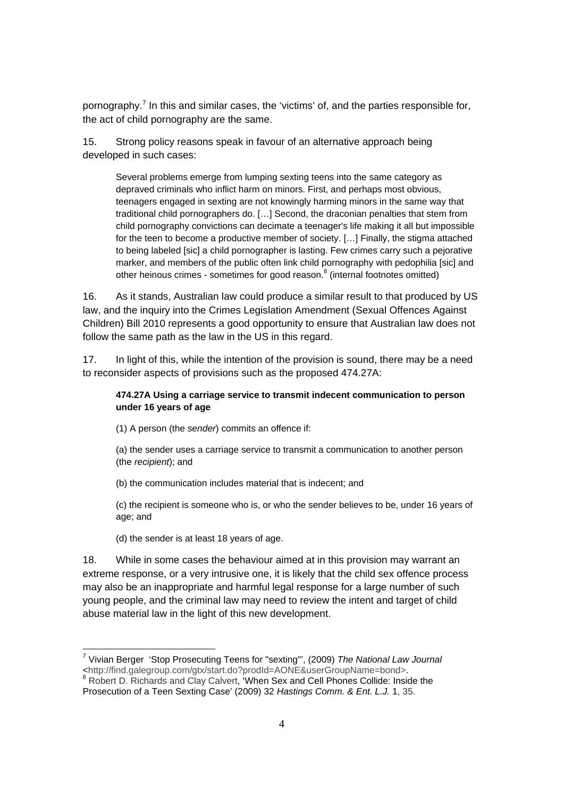pornography.<sup>7</sup> In this and similar cases, the 'victims' of, and the parties responsible for, the act of child pornography are the same.

15. Strong policy reasons speak in favour of an alternative approach being developed in such cases:

Several problems emerge from lumping sexting teens into the same category as depraved criminals who inflict harm on minors. First, and perhaps most obvious, teenagers engaged in sexting are not knowingly harming minors in the same way that traditional child pornographers do. […] Second, the draconian penalties that stem from child pornography convictions can decimate a teenager's life making it all but impossible for the teen to become a productive member of society. […] Finally, the stigma attached to being labeled [sic] a child pornographer is lasting. Few crimes carry such a pejorative marker, and members of the public often link child pornography with pedophilia [sic] and other heinous crimes - sometimes for good reason.<sup>8</sup> (internal footnotes omitted)

16. As it stands, Australian law could produce a similar result to that produced by US law, and the inquiry into the Crimes Legislation Amendment (Sexual Offences Against Children) Bill 2010 represents a good opportunity to ensure that Australian law does not follow the same path as the law in the US in this regard.

17. In light of this, while the intention of the provision is sound, there may be a need to reconsider aspects of provisions such as the proposed 474.27A:

#### **474.27A Using a carriage service to transmit indecent communication to person under 16 years of age**

(1) A person (the *sender*) commits an offence if:

(a) the sender uses a carriage service to transmit a communication to another person (the *recipient*); and

(b) the communication includes material that is indecent; and

(c) the recipient is someone who is, or who the sender believes to be, under 16 years of age; and

(d) the sender is at least 18 years of age.

18. While in some cases the behaviour aimed at in this provision may warrant an extreme response, or a very intrusive one, it is likely that the child sex offence process may also be an inappropriate and harmful legal response for a large number of such young people, and the criminal law may need to review the intent and target of child abuse material law in the light of this new development.

 7 Vivian Berger 'Stop Prosecuting Teens for "sexting"', (2009) *The National Law Journal*  <http://find.galegroup.com/gtx/start.do?prodId=AONE&userGroupName=bond>. 8 Robert D. Richards and Clay Calvert, 'When Sex and Cell Phones Collide: Inside the

Prosecution of a Teen Sexting Case' (2009) 32 *Hastings Comm. & Ent. L.J.* 1, 35.